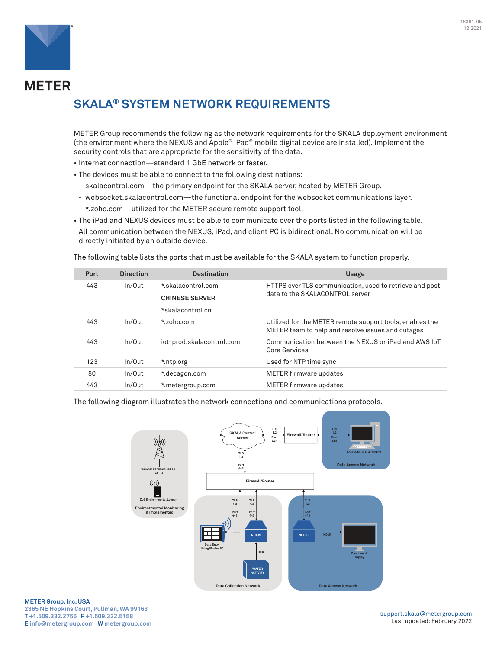

**METER** 

# **SKALA® SYSTEM NETWORK REQUIREMENTS**

METER Group recommends the following as the network requirements for the SKALA deployment environment (the environment where the NEXUS and Apple® iPad® mobile digital device are installed). Implement the security controls that are appropriate for the sensitivity of the data.

- Internet connection—standard 1 GbE network or faster.
- The devices must be able to connect to the following destinations:
- skalacontrol.com—the primary endpoint for the SKALA server, hosted by METER Group.
- websocket.skalacontrol.com—the functional endpoint for the websocket communications layer.
- \*.zoho.com—utilized for the METER secure remote support tool.
- The iPad and NEXUS devices must be able to communicate over the ports listed in the following table. All communication between the NEXUS, iPad, and client PC is bidirectional. No communication will be directly initiated by an outside device.

The following table lists the ports that must be available for the SKALA system to function properly.

| Port | <b>Direction</b> | <b>Destination</b>        | <b>Usage</b>                                                                                                  |
|------|------------------|---------------------------|---------------------------------------------------------------------------------------------------------------|
| 443  | In/Out           | *.skalacontrol.com        | HTTPS over TLS communication, used to retrieve and post<br>data to the SKALACONTROL server                    |
|      |                  | <b>CHINESE SERVER</b>     |                                                                                                               |
|      |                  | *skalacontrol.cn          |                                                                                                               |
| 443  | In/Out           | $*$ zoho.com              | Utilized for the METER remote support tools, enables the<br>METER team to help and resolve issues and outages |
| 443  | In/Out           | iot-prod.skalacontrol.com | Communication between the NEXUS or iPad and AWS IoT<br>Core Services                                          |
| 123  | In/Out           | *.ntp.org                 | Used for NTP time sync                                                                                        |
| 80   | In/Out           | *.decagon.com             | METER firmware updates                                                                                        |
| 443  | In/Out           | *.metergroup.com          | <b>METER firmware updates</b>                                                                                 |

The following diagram illustrates the network connections and communications protocols.